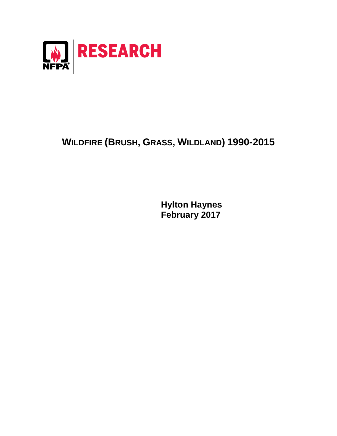

## **WILDFIRE (BRUSH, GRASS, WILDLAND) 1990-2015**

**Hylton Haynes February 2017**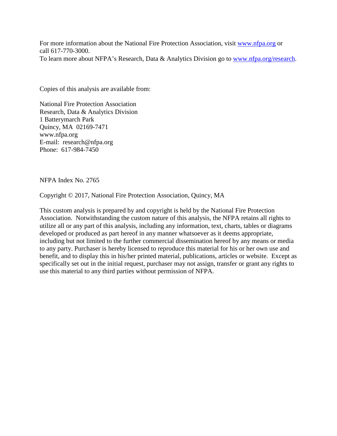For more information about the National Fire Protection Association, visit [www.nfpa.org](http://www.nfpa.org/) or call 617-770-3000. To learn more about NFPA's Research, Data & Analytics Division go to [www.nfpa.org/research.](http://www.nfpa.org/osds)

Copies of this analysis are available from:

National Fire Protection Association Research, Data & Analytics Division 1 Batterymarch Park Quincy, MA 02169-7471 www.nfpa.org E-mail: research@nfpa.org Phone: 617-984-7450

NFPA Index No. 2765

Copyright © 2017, National Fire Protection Association, Quincy, MA

This custom analysis is prepared by and copyright is held by the National Fire Protection Association. Notwithstanding the custom nature of this analysis, the NFPA retains all rights to utilize all or any part of this analysis, including any information, text, charts, tables or diagrams developed or produced as part hereof in any manner whatsoever as it deems appropriate, including but not limited to the further commercial dissemination hereof by any means or media to any party. Purchaser is hereby licensed to reproduce this material for his or her own use and benefit, and to display this in his/her printed material, publications, articles or website. Except as specifically set out in the initial request, purchaser may not assign, transfer or grant any rights to use this material to any third parties without permission of NFPA.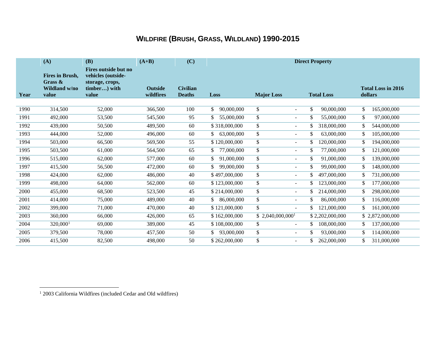## <span id="page-2-0"></span>**WILDFIRE (BRUSH, GRASS, WILDLAND) 1990-2015**

|      | (A)                                                         | (B)                                                                                    | $(A+B)$                     | (C)                              | <b>Direct Property</b> |                                          |                   |                                      |
|------|-------------------------------------------------------------|----------------------------------------------------------------------------------------|-----------------------------|----------------------------------|------------------------|------------------------------------------|-------------------|--------------------------------------|
| Year | <b>Fires in Brush,</b><br>Grass &<br>Wildland w/no<br>value | Fires outside but no<br>vehicles (outside-<br>storage, crops,<br>timber) with<br>value | <b>Outside</b><br>wildfires | <b>Civilian</b><br><b>Deaths</b> | Loss                   | <b>Major Loss</b>                        | <b>Total Loss</b> | <b>Total Loss in 2016</b><br>dollars |
|      |                                                             |                                                                                        |                             |                                  |                        |                                          |                   |                                      |
| 1990 | 314,500                                                     | 52,000                                                                                 | 366,500                     | 100                              | \$<br>90,000,000       | $\mathbb{S}$<br>$\sim$                   | \$<br>90,000,000  | \$<br>165,000,000                    |
| 1991 | 492,000                                                     | 53,500                                                                                 | 545,500                     | 95                               | 55,000,000<br>\$       | \$<br>$\sim$                             | 55,000,000        | \$<br>97,000,000                     |
| 1992 | 439,000                                                     | 50,500                                                                                 | 489,500                     | 60                               | \$318,000,000          | \$<br>$\sim$                             | 318,000,000<br>\$ | 544,000,000<br>\$                    |
| 1993 | 444,000                                                     | 52,000                                                                                 | 496,000                     | 60                               | 63,000,000<br>\$       | \$<br>$\blacksquare$                     | 63,000,000<br>\$  | 105,000,000<br>\$                    |
| 1994 | 503,000                                                     | 66,500                                                                                 | 569,500                     | 55                               | \$120,000,000          | \$<br>÷.                                 | 120,000,000       | \$<br>194,000,000                    |
| 1995 | 503,500                                                     | 61,000                                                                                 | 564,500                     | 65                               | 77,000,000<br>\$       | \$<br>$\blacksquare$                     | 77,000,000        | \$<br>121,000,000                    |
| 1996 | 515,000                                                     | 62,000                                                                                 | 577,000                     | 60                               | 91,000,000<br>\$       | \$<br>$\sim$                             | \$<br>91,000,000  | \$<br>139,000,000                    |
| 1997 | 415,500                                                     | 56,500                                                                                 | 472,000                     | 60                               | 99,000,000             | \$<br>÷.                                 | 99,000,000        | 148,000,000<br>\$                    |
| 1998 | 424,000                                                     | 62,000                                                                                 | 486,000                     | 40                               | \$497,000,000          | $\mathbb{S}$<br>$\overline{\phantom{a}}$ | 497,000,000       | 731,000,000<br>\$                    |
| 1999 | 498,000                                                     | 64,000                                                                                 | 562,000                     | 60                               | \$123,000,000          | \$<br>$\sim$                             | 123,000,000       | \$<br>177,000,000                    |
| 2000 | 455,000                                                     | 68,500                                                                                 | 523,500                     | 45                               | \$214,000,000          | $\mathbb{S}$<br>$\overline{\phantom{0}}$ | 214,000,000<br>\$ | 298,000,000<br>S.                    |
| 2001 | 414,000                                                     | 75,000                                                                                 | 489,000                     | 40                               | 86,000,000             | $\mathbb{S}$<br>$\sim$                   | 86,000,000        | 116,000,000<br>\$                    |
| 2002 | 399,000                                                     | 71,000                                                                                 | 470,000                     | 40                               | \$121,000,000          | $\mathbb{S}$<br>$\overline{\phantom{a}}$ | 121,000,000       | 161,000,000<br>\$                    |
| 2003 | 360,000                                                     | 66,000                                                                                 | 426,000                     | 65                               | \$162,000,000          | $$2,040,000,000$ <sup>1</sup>            | \$2,202,000,000   | \$2,872,000,000                      |
| 2004 | 320,000 <sup>1</sup>                                        | 69,000                                                                                 | 389,000                     | 45                               | \$108,000,000          | $\mathbb{S}$<br>$\blacksquare$           | 108,000,000<br>\$ | 137,000,000<br>\$                    |
| 2005 | 379,500                                                     | 78,000                                                                                 | 457,500                     | 50                               | 93,000,000             | \$<br>÷.                                 | 93,000,000        | 114,000,000<br>S                     |
| 2006 | 415,500                                                     | 82,500                                                                                 | 498,000                     | 50                               | \$262,000,000          | \$<br>٠                                  | 262,000,000       | \$<br>311,000,000                    |

 $\overline{a}$ 

<sup>&</sup>lt;sup>1</sup> 2003 California Wildfires (included Cedar and Old wildfires)